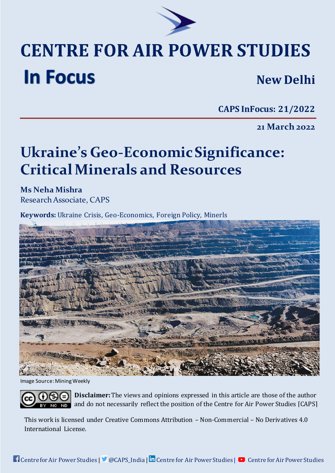

## **CENTRE FOR AIR POWER STUDIES In Focus New Delhi**

**CAPS InFocus: 21/2022**

**21 March 2022**

# **Ukraine's Geo-EconomicSignificance: Critical Minerals and Resources**

**Ms Neha Mishra** Research Associate, CAPS

**Keywords:** Ukraine Crisis, Geo-Economics, Foreign Policy, Minerls



Image Source: Mining Weekly

**Disclaimer:**[The views and opinions expressed in this article are those of the author](http://creativecommons.org/licenses/by-nc-nd/4.0/)  [and do not necessarily reflect the position of the Centre for Air Power Studies \[CAPS\]](http://creativecommons.org/licenses/by-nc-nd/4.0/)

This work is [licensed under Creative Commons Attribution](http://creativecommons.org/licenses/by-nc-nd/4.0/) – Non-Commercial – No Derivatives 4.0 [International License.](http://creativecommons.org/licenses/by-nc-nd/4.0/)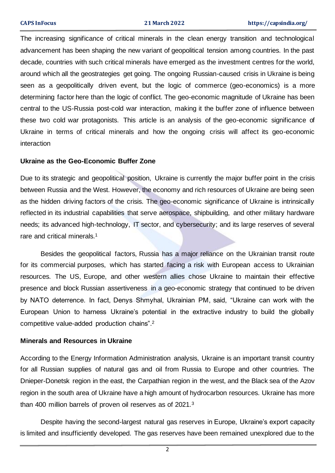The increasing significance of critical minerals in the clean energy transition and technological advancement has been shaping the new variant of geopolitical tension among countries. In the past decade, countries with such critical minerals have emerged as the investment centres for the world, around which all the geostrategies get going. The ongoing Russian-caused crisis in Ukraine is being seen as a geopolitically driven event, but the logic of commerce (geo-economics) is a more determining factor here than the logic of conflict. The geo-economic magnitude of Ukraine has been central to the US-Russia post-cold war interaction, making it the buffer zone of influence between these two cold war protagonists. This article is an analysis of the geo-economic significance of Ukraine in terms of critical minerals and how the ongoing crisis will affect its geo-economic interaction

#### **Ukraine as the Geo-Economic Buffer Zone**

Due to its strategic and geopolitical position, Ukraine is currently the major buffer point in the crisis between Russia and the West. However, the economy and rich resources of Ukraine are being seen as the hidden driving factors of the crisis. The geo-economic significance of Ukraine is intrinsically reflected in its industrial capabilities that serve aerospace, shipbuilding, and other military hardware needs; its advanced high-technology, IT sector, and cybersecurity; and its large reserves of several rare and critical minerals.<sup>1</sup>

Besides the geopolitical factors, Russia has a major reliance on the Ukrainian transit route for its commercial purposes, which has started facing a risk with European access to Ukrainian resources. The US, Europe, and other western allies chose Ukraine to maintain their effective presence and block Russian assertiveness in a geo-economic strategy that continued to be driven by NATO deterrence. In fact, Denys Shmyhal, Ukrainian PM, said, "Ukraine can work with the European Union to harness Ukraine's potential in the extractive industry to build the globally competitive value-added production chains". 2

#### **Minerals and Resources in Ukraine**

According to the Energy Information Administration analysis, Ukraine is an important transit country for all Russian supplies of natural gas and oil from Russia to Europe and other countries. The Dnieper-Donetsk region in the east, the Carpathian region in the west, and the Black sea of the Azov region in the south area of Ukraine have a high amount of hydrocarbon resources. Ukraine has more than 400 million barrels of proven oil reserves as of 2021.<sup>3</sup>

Despite having the second-largest natural gas reserves in Europe, Ukraine's export capacity is limited and insufficiently developed. The gas reserves have been remained unexplored due to the

2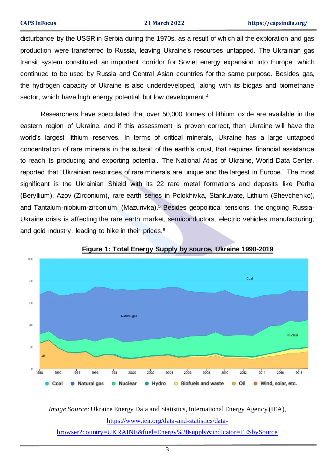disturbance by the USSR in Serbia during the 1970s, as a result of which all the exploration and gas production were transferred to Russia, leaving Ukraine's resources untapped. The Ukrainian gas transit system constituted an important corridor for Soviet energy expansion into Europe, which continued to be used by Russia and Central Asian countries for the same purpose. Besides gas, the hydrogen capacity of Ukraine is also underdeveloped, along with its biogas and biomethane sector, which have high energy potential but low development.<sup>4</sup>

Researchers have speculated that over 50,000 tonnes of lithium oxide are available in the eastern region of Ukraine, and if this assessment is proven correct, then Ukraine will have the world's largest lithium reserves. In terms of critical minerals, Ukraine has a large untapped concentration of rare minerals in the subsoil of the earth's crust, that requires financial assistance to reach its producing and exporting potential. The National Atlas of Ukraine, World Data Center, reported that "Ukrainian resources of rare minerals are unique and the largest in Europe." The most significant is the Ukrainian Shield with its 22 rare metal formations and deposits like Perha (Beryllium), Azov (Zirconium), rare earth series in Polokhivka, Stankuvate, Lithium (Shevchenko), and Tantalum-niobium-zirconium (Mazurivka).<sup>5</sup> Besides geopolitical tensions, the ongoing Russia-Ukraine crisis is affecting the rare earth market, semiconductors, electric vehicles manufacturing, and gold industry, leading to hike in their prices. 6



### **Figure 1: Total Energy Supply by source, Ukraine 1990-2019**

*Image Source*: Ukraine Energy Data and Statistics, International Energy Agency (IEA), [https://www.iea.org/data-and-statistics/data-](https://www.iea.org/data-and-statistics/data-browser?country=UKRAINE&fuel=Energy%20supply&indicator=TESbySource)

[browser?country=UKRAINE&fuel=Energy%20supply&indicator=TESbySource](https://www.iea.org/data-and-statistics/data-browser?country=UKRAINE&fuel=Energy%20supply&indicator=TESbySource)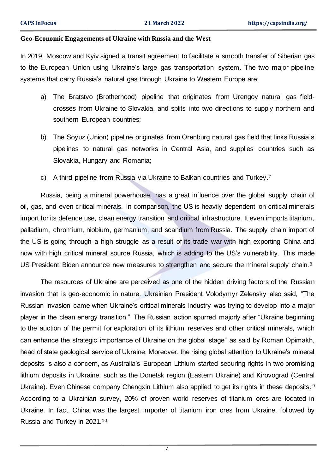#### **Geo-Economic Engagements of Ukraine with Russia and the West**

In 2019, Moscow and Kyiv signed a transit agreement to facilitate a smooth transfer of Siberian gas to the European Union using Ukraine's large gas transportation system. The two major pipeline systems that carry Russia's natural gas through Ukraine to Western Europe are:

- a) The Bratstvo (Brotherhood) pipeline that originates from Urengoy natural gas fieldcrosses from Ukraine to Slovakia, and splits into two directions to supply northern and southern European countries;
- b) The Soyuz (Union) pipeline originates from Orenburg natural gas field that links Russia's pipelines to natural gas networks in Central Asia, and supplies countries such as Slovakia, Hungary and Romania;
- c) A third pipeline from Russia via Ukraine to Balkan countries and Turkey.<sup>7</sup>

Russia, being a mineral powerhouse, has a great influence over the global supply chain of oil, gas, and even critical minerals. In comparison, the US is heavily dependent on critical minerals import for its defence use, clean energy transition and critical infrastructure. It even imports titanium, palladium, chromium, niobium, germanium, and scandium from Russia. The supply chain import of the US is going through a high struggle as a result of its trade war with high exporting China and now with high critical mineral source Russia, which is adding to the US's vulnerability. This made US President Biden announce new measures to strengthen and secure the mineral supply chain.<sup>8</sup>

The resources of Ukraine are perceived as one of the hidden driving factors of the Russian invasion that is geo-economic in nature. Ukrainian President Volodymyr Zelensky also said, "The Russian invasion came when Ukraine's critical minerals industry was trying to develop into a major player in the clean energy transition." The Russian action spurred majorly after "Ukraine beginning to the auction of the permit for exploration of its lithium reserves and other critical minerals, which can enhance the strategic importance of Ukraine on the global stage" as said by Roman Opimakh, head of state geological service of Ukraine. Moreover, the rising global attention to Ukraine's mineral deposits is also a concern, as Australia's European Lithium started securing rights in two promising lithium deposits in Ukraine, such as the Donetsk region (Eastern Ukraine) and Kirovograd (Central Ukraine). Even Chinese company Chengxin Lithium also applied to get its rights in these deposits. 9 According to a Ukrainian survey, 20% of proven world reserves of titanium ores are located in Ukraine. In fact, China was the largest importer of titanium iron ores from Ukraine, followed by Russia and Turkey in 2021.10